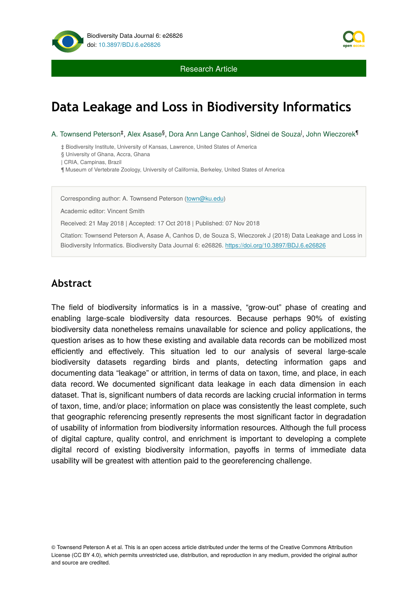

Research Article



# Data Leakage and Loss in Biodiversity Informatics

A. Townsend Peterson‡, Alex Asase<sup>§</sup>, Dora Ann Lange Canhos<sup>l</sup>, Sidnei de Souza<sup>l</sup>, John Wieczorek<sup>¶</sup>

‡ Biodiversity Institute, University of Kansas, Lawrence, United States of America

§ University of Ghana, Accra, Ghana

| CRIA, Campinas, Brazil

¶ Museum of Vertebrate Zoology, University of California, Berkeley, United States of America

Corresponding author: A. Townsend Peterson (town@ku.edu)

Academic editor: Vincent Smith

Received: 21 May 2018 | Accepted: 17 Oct 2018 | Published: 07 Nov 2018

Citation: Townsend Peterson A, Asase A, Canhos D, de Souza S, Wieczorek J (2018) Data Leakage and Loss in Biodiversity Informatics. Biodiversity Data Journal 6: e26826. https://doi.org/10.3897/BDJ.6.e26826

### Abstract

The field of biodiversity informatics is in a massive, "grow-out" phase of creating and enabling large-scale biodiversity data resources. Because perhaps 90% of existing biodiversity data nonetheless remains unavailable for science and policy applications, the question arises as to how these existing and available data records can be mobilized most efficiently and effectively. This situation led to our analysis of several large-scale biodiversity datasets regarding birds and plants, detecting information gaps and documenting data "leakage" or attrition, in terms of data on taxon, time, and place, in each data record. We documented significant data leakage in each data dimension in each dataset. That is, significant numbers of data records are lacking crucial information in terms of taxon, time, and/or place; information on place was consistently the least complete, such that geographic referencing presently represents the most significant factor in degradation of usability of information from biodiversity information resources. Although the full process of digital capture, quality control, and enrichment is important to developing a complete digital record of existing biodiversity information, payoffs in terms of immediate data usability will be greatest with attention paid to the georeferencing challenge.

© Townsend Peterson A et al. This is an open access article distributed under the terms of the Creative Commons Attribution License (CC BY 4.0), which permits unrestricted use, distribution, and reproduction in any medium, provided the original author and source are credited.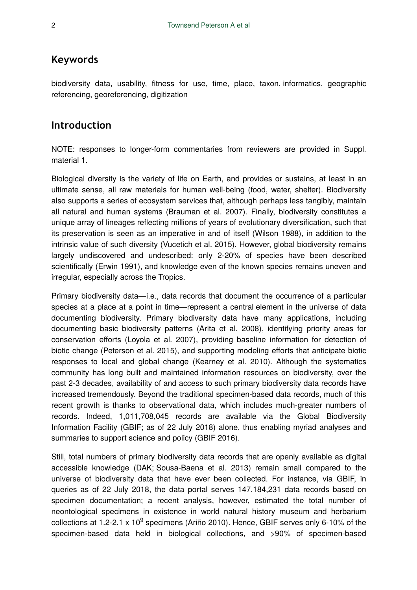### Keywords

biodiversity data, usability, fitness for use, time, place, taxon, informatics, geographic referencing, georeferencing, digitization

### Introduction

NOTE: responses to longer-form commentaries from reviewers are provided in Suppl. material 1.

Biological diversity is the variety of life on Earth, and provides or sustains, at least in an ultimate sense, all raw materials for human well-being (food, water, shelter). Biodiversity also supports a series of ecosystem services that, although perhaps less tangibly, maintain all natural and human systems (Brauman et al. 2007). Finally, biodiversity constitutes a unique array of lineages reflecting millions of years of evolutionary diversification, such that its preservation is seen as an imperative in and of itself (Wilson 1988), in addition to the intrinsic value of such diversity (Vucetich et al. 2015). However, global biodiversity remains largely undiscovered and undescribed: only 2-20% of species have been described scientifically (Erwin 1991), and knowledge even of the known species remains uneven and irregular, especially across the Tropics.

Primary biodiversity data—i.e., data records that document the occurrence of a particular species at a place at a point in time—represent a central element in the universe of data documenting biodiversity. Primary biodiversity data have many applications, including documenting basic biodiversity patterns (Arita et al. 2008), identifying priority areas for conservation efforts (Loyola et al. 2007), providing baseline information for detection of biotic change (Peterson et al. 2015), and supporting modeling efforts that anticipate biotic responses to local and global change (Kearney et al. 2010). Although the systematics community has long built and maintained information resources on biodiversity, over the past 2-3 decades, availability of and access to such primary biodiversity data records have increased tremendously. Beyond the traditional specimen-based data records, much of this recent growth is thanks to observational data, which includes much-greater numbers of records. Indeed, 1,011,708,045 records are available via the Global Biodiversity Information Facility (GBIF; as of 22 July 2018) alone, thus enabling myriad analyses and summaries to support science and policy (GBIF 2016).

Still, total numbers of primary biodiversity data records that are openly available as digital accessible knowledge (DAK; Sousa-Baena et al. 2013) remain small compared to the universe of biodiversity data that have ever been collected. For instance, via GBIF, in queries as of 22 July 2018, the data portal serves 147,184,231 data records based on specimen documentation; a recent analysis, however, estimated the total number of neontological specimens in existence in world natural history museum and herbarium collections at 1.2-2.1 x 10<sup>9</sup> specimens (Ariño 2010). Hence, GBIF serves only 6-10% of the specimen-based data held in biological collections, and >90% of specimen-based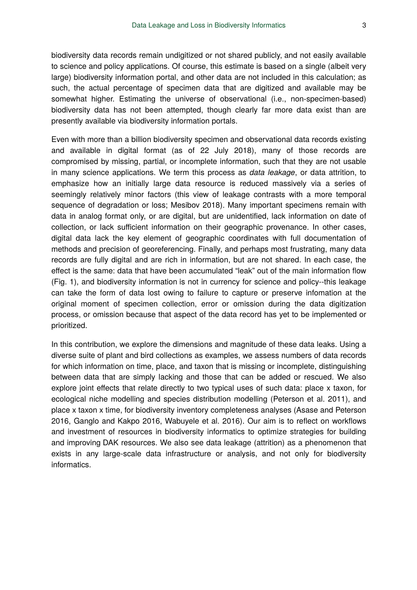biodiversity data records remain undigitized or not shared publicly, and not easily available to science and policy applications. Of course, this estimate is based on a single (albeit very large) biodiversity information portal, and other data are not included in this calculation; as such, the actual percentage of specimen data that are digitized and available may be somewhat higher. Estimating the universe of observational (i.e., non-specimen-based) biodiversity data has not been attempted, though clearly far more data exist than are presently available via biodiversity information portals.

Even with more than a billion biodiversity specimen and observational data records existing and available in digital format (as of 22 July 2018), many of those records are compromised by missing, partial, or incomplete information, such that they are not usable in many science applications. We term this process as *data leakage*, or data attrition, to emphasize how an initially large data resource is reduced massively via a series of seemingly relatively minor factors (this view of leakage contrasts with a more temporal sequence of degradation or loss; Mesibov 2018). Many important specimens remain with data in analog format only, or are digital, but are unidentified, lack information on date of collection, or lack sufficient information on their geographic provenance. In other cases, digital data lack the key element of geographic coordinates with full documentation of methods and precision of georeferencing. Finally, and perhaps most frustrating, many data records are fully digital and are rich in information, but are not shared. In each case, the effect is the same: data that have been accumulated "leak" out of the main information flow (Fig. 1), and biodiversity information is not in currency for science and policy--this leakage can take the form of data lost owing to failure to capture or preserve infomation at the original moment of specimen collection, error or omission during the data digitization process, or omission because that aspect of the data record has yet to be implemented or prioritized.

In this contribution, we explore the dimensions and magnitude of these data leaks. Using a diverse suite of plant and bird collections as examples, we assess numbers of data records for which information on time, place, and taxon that is missing or incomplete, distinguishing between data that are simply lacking and those that can be added or rescued. We also explore joint effects that relate directly to two typical uses of such data: place  $x$  taxon, for ecological niche modelling and species distribution modelling (Peterson et al. 2011), and place x taxon x time, for biodiversity inventory completeness analyses (Asase and Peterson 2016, Ganglo and Kakpo 2016, Wabuyele et al. 2016). Our aim is to reflect on workflows and investment of resources in biodiversity informatics to optimize strategies for building and improving DAK resources. We also see data leakage (attrition) as a phenomenon that exists in any large-scale data infrastructure or analysis, and not only for biodiversity informatics.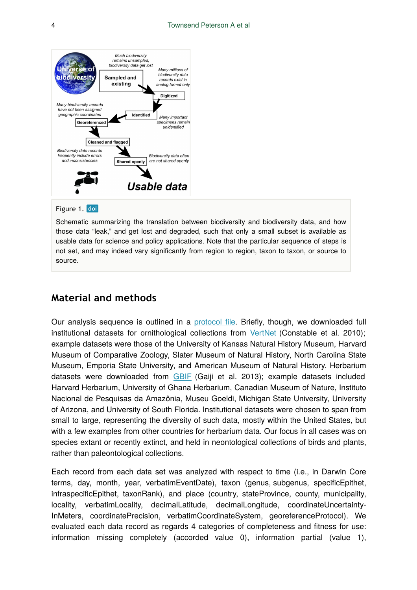

#### Figure 1. doi

Schematic summarizing the translation between biodiversity and biodiversity data, and how those data "leak," and get lost and degraded, such that only a small subset is available as usable data for science and policy applications. Note that the particular sequence of steps is not set, and may indeed vary significantly from region to region, taxon to taxon, or source to source.

### Material and methods

Our analysis sequence is outlined in a protocol file. Briefly, though, we downloaded full institutional datasets for ornithological collections from VertNet (Constable et al. 2010); example datasets were those of the University of Kansas Natural History Museum, Harvard Museum of Comparative Zoology, Slater Museum of Natural History, North Carolina State Museum, Emporia State University, and American Museum of Natural History. Herbarium datasets were downloaded from GBIF (Gaiji et al. 2013); example datasets included Harvard Herbarium, University of Ghana Herbarium, Canadian Museum of Nature, Instituto Nacional de Pesquisas da Amazônia, Museu Goeldi, Michigan State University, University of Arizona, and University of South Florida. Institutional datasets were chosen to span from small to large, representing the diversity of such data, mostly within the United States, but with a few examples from other countries for herbarium data. Our focus in all cases was on species extant or recently extinct, and held in neontological collections of birds and plants, rather than paleontological collections.

Each record from each data set was analyzed with respect to time (i.e., in Darwin Core terms, day, month, year, verbatimEventDate), taxon (genus, subgenus, specificEpithet, infraspecificEpithet, taxonRank), and place (country, stateProvince, county, municipality, locality, verbatimLocality, decimalLatitude, decimalLongitude, coordinateUncertainty-InMeters, coordinatePrecision, verbatimCoordinateSystem, georeferenceProtocol). We evaluated each data record as regards 4 categories of completeness and fitness for use: information missing completely (accorded value 0), information partial (value 1),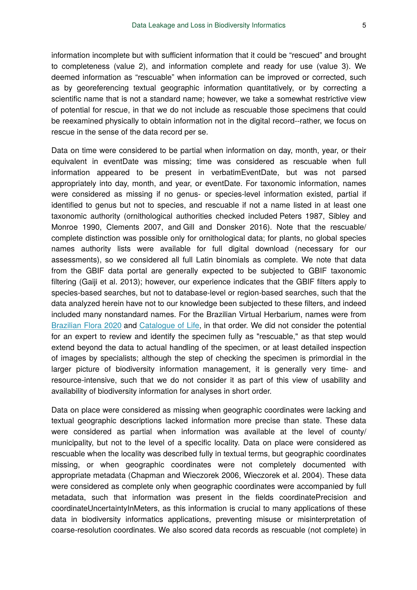information incomplete but with sufficient information that it could be "rescued" and brought to completeness (value 2), and information complete and ready for use (value 3). We deemed information as "rescuable" when information can be improved or corrected, such as by georeferencing textual geographic information quantitatively, or by correcting a scientific name that is not a standard name; however, we take a somewhat restrictive view of potential for rescue, in that we do not include as rescuable those specimens that could be reexamined physically to obtain information not in the digital record--rather, we focus on rescue in the sense of the data record per se.

Data on time were considered to be partial when information on day, month, year, or their equivalent in eventDate was missing; time was considered as rescuable when full information appeared to be present in verbatimEventDate, but was not parsed appropriately into day, month, and year, or eventDate. For taxonomic information, names were considered as missing if no genus- or species-level information existed, partial if identified to genus but not to species, and rescuable if not a name listed in at least one taxonomic authority (ornithological authorities checked included Peters 1987, Sibley and Monroe 1990, Clements 2007, and Gill and Donsker 2016). Note that the rescuable/ complete distinction was possible only for ornithological data; for plants, no global species names authority lists were available for full digital download (necessary for our assessments), so we considered all full Latin binomials as complete. We note that data from the GBIF data portal are generally expected to be subjected to GBIF taxonomic filtering (Gaiji et al. 2013); however, our experience indicates that the GBIF filters apply to species-based searches, but not to database-level or region-based searches, such that the data analyzed herein have not to our knowledge been subjected to these filters, and indeed included many nonstandard names. For the Brazilian Virtual Herbarium, names were from Brazilian Flora 2020 and Catalogue of Life, in that order. We did not consider the potential for an expert to review and identify the specimen fully as "rescuable," as that step would extend beyond the data to actual handling of the specimen, or at least detailed inspection of images by specialists; although the step of checking the specimen is primordial in the larger picture of biodiversity information management, it is generally very time- and resource-intensive, such that we do not consider it as part of this view of usability and availability of biodiversity information for analyses in short order.

Data on place were considered as missing when geographic coordinates were lacking and textual geographic descriptions lacked information more precise than state. These data were considered as partial when information was available at the level of county/ municipality, but not to the level of a specific locality. Data on place were considered as rescuable when the locality was described fully in textual terms, but geographic coordinates missing, or when geographic coordinates were not completely documented with appropriate metadata (Chapman and Wieczorek 2006, Wieczorek et al. 2004). These data were considered as complete only when geographic coordinates were accompanied by full metadata, such that information was present in the fields coordinatePrecision and coordinateUncertaintyInMeters, as this information is crucial to many applications of these data in biodiversity informatics applications, preventing misuse or misinterpretation of coarse-resolution coordinates. We also scored data records as rescuable (not complete) in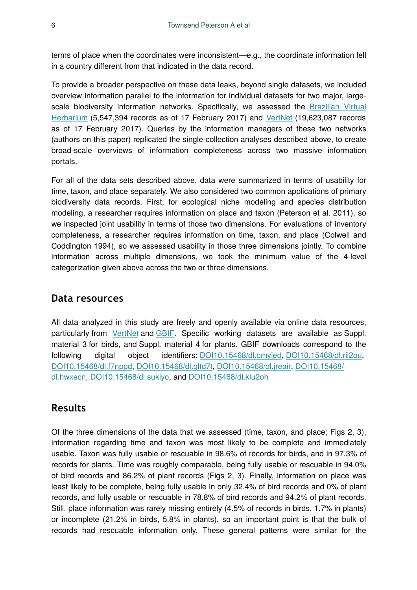terms of place when the coordinates were inconsistent—e.g., the coordinate information fell in a country different from that indicated in the data record.

To provide a broader perspective on these data leaks, beyond single datasets, we included overview information parallel to the information for individual datasets for two major, largescale biodiversity information networks. Specifically, we assessed the Brazilian Virtual Herbarium (5,547,394 records as of 17 February 2017) and VertNet (19,623,087 records as of 17 February 2017). Queries by the information managers of these two networks (authors on this paper) replicated the single-collection analyses described above, to create broad-scale overviews of information completeness across two massive information portals.

For all of the data sets described above, data were summarized in terms of usability for time, taxon, and place separately. We also considered two common applications of primary biodiversity data records. First, for ecological niche modeling and species distribution modeling, a researcher requires information on place and taxon (Peterson et al. 2011), so we inspected joint usability in terms of those two dimensions. For evaluations of inventory completeness, a researcher requires information on time, taxon, and place (Colwell and Coddington 1994), so we assessed usability in those three dimensions jointly. To combine information across multiple dimensions, we took the minimum value of the 4-level categorization given above across the two or three dimensions.

### Data resources

All data analyzed in this study are freely and openly available via online data resources, particularly from VertNet and GBIF. Specific working datasets are available as Suppl. material 3 for birds, and Suppl. material 4 for plants. GBIF downloads correspond to the following digital object identifiers: DOI10.15468/dl.omyjed, DOI10.15468/dl.rii2ou, DOI10.15468/dl.f7nppd, DOI10.15468/dl.gltd7t, DOI10.15468/dl.jreair, DOI10.15468/ dl.hwxecn, DOI10.15468/dl.sukiyo, and DOI10.15468/dl.klu2oh

### Results

Of the three dimensions of the data that we assessed (time, taxon, and place; Figs 2, 3), information regarding time and taxon was most likely to be complete and immediately usable. Taxon was fully usable or rescuable in 98.6% of records for birds, and in 97.3% of records for plants. Time was roughly comparable, being fully usable or rescuable in 94.0% of bird records and 86.2% of plant records (Figs 2, 3). Finally, information on place was least likely to be complete, being fully usable in only 32.4% of bird records and 0% of plant records, and fully usable or rescuable in 78.8% of bird records and 94.2% of plant records. Still, place information was rarely missing entirely (4.5% of records in birds, 1.7% in plants) or incomplete (21.2% in birds, 5.8% in plants), so an important point is that the bulk of records had rescuable information only. These general patterns were similar for the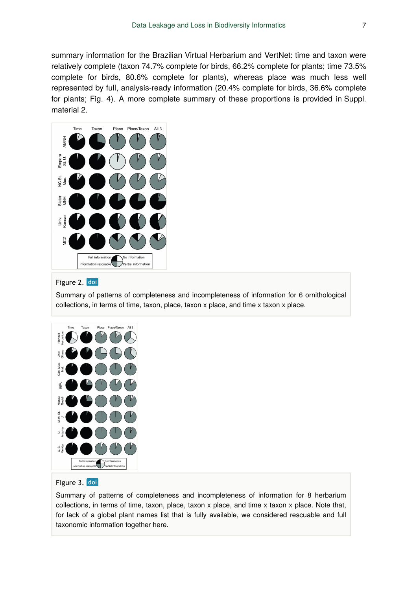summary information for the Brazilian Virtual Herbarium and VertNet: time and taxon were relatively complete (taxon 74.7% complete for birds, 66.2% complete for plants; time 73.5% complete for birds, 80.6% complete for plants), whereas place was much less well represented by full, analysis-ready information (20.4% complete for birds, 36.6% complete for plants; Fig. 4). A more complete summary of these proportions is provided in Suppl. material 2.



#### Figure 2. doi

Summary of patterns of completeness and incompleteness of information for 6 ornithological collections, in terms of time, taxon, place, taxon x place, and time x taxon x place.



#### Figure 3. doi

Summary of patterns of completeness and incompleteness of information for 8 herbarium collections, in terms of time, taxon, place, taxon x place, and time x taxon x place. Note that, for lack of a global plant names list that is fully available, we considered rescuable and full taxonomic information together here.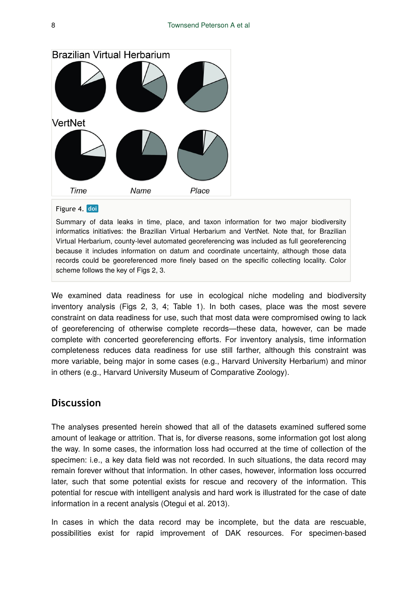

#### Figure 4. doi

Summary of data leaks in time, place, and taxon information for two major biodiversity informatics initiatives: the Brazilian Virtual Herbarium and VertNet. Note that, for Brazilian Virtual Herbarium, county-level automated georeferencing was included as full georeferencing because it includes information on datum and coordinate uncertainty, although those data records could be georeferenced more finely based on the specific collecting locality. Color scheme follows the key of Figs 2, 3.

We examined data readiness for use in ecological niche modeling and biodiversity inventory analysis (Figs 2, 3, 4; Table 1). In both cases, place was the most severe constraint on data readiness for use, such that most data were compromised owing to lack of georeferencing of otherwise complete records—these data, however, can be made complete with concerted georeferencing efforts. For inventory analysis, time information completeness reduces data readiness for use still farther, although this constraint was more variable, being major in some cases (e.g., Harvard University Herbarium) and minor in others (e.g., Harvard University Museum of Comparative Zoology).

### **Discussion**

The analyses presented herein showed that all of the datasets examined suffered some amount of leakage or attrition. That is, for diverse reasons, some information got lost along the way. In some cases, the information loss had occurred at the time of collection of the specimen: i.e., a key data field was not recorded. In such situations, the data record may remain forever without that information. In other cases, however, information loss occurred later, such that some potential exists for rescue and recovery of the information. This potential for rescue with intelligent analysis and hard work is illustrated for the case of date information in a recent analysis (Otegui et al. 2013).

In cases in which the data record may be incomplete, but the data are rescuable, possibilities exist for rapid improvement of DAK resources. For specimen-based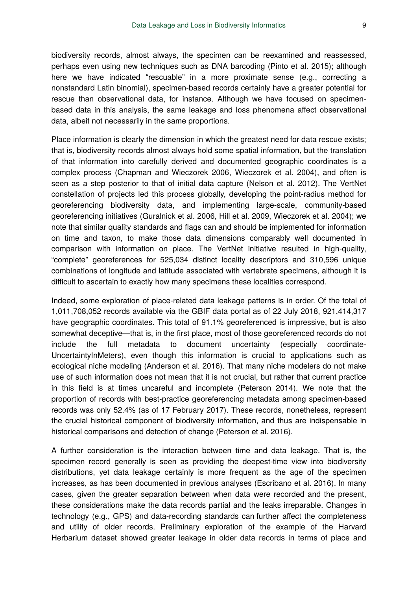biodiversity records, almost always, the specimen can be reexamined and reassessed, perhaps even using new techniques such as DNA barcoding (Pinto et al. 2015); although here we have indicated "rescuable" in a more proximate sense (e.g., correcting a nonstandard Latin binomial), specimen-based records certainly have a greater potential for rescue than observational data, for instance. Although we have focused on specimenbased data in this analysis, the same leakage and loss phenomena affect observational data, albeit not necessarily in the same proportions.

Place information is clearly the dimension in which the greatest need for data rescue exists; that is, biodiversity records almost always hold some spatial information, but the translation of that information into carefully derived and documented geographic coordinates is a complex process (Chapman and Wieczorek 2006, Wieczorek et al. 2004), and often is seen as a step posterior to that of initial data capture (Nelson et al. 2012). The VertNet constellation of projects led this process globally, developing the point-radius method for georeferencing biodiversity data, and implementing large-scale, community-based georeferencing initiatives (Guralnick et al. 2006, Hill et al. 2009, Wieczorek et al. 2004); we note that similar quality standards and flags can and should be implemented for information on time and taxon, to make those data dimensions comparably well documented in comparison with information on place. The VertNet initiative resulted in high-quality, "complete" georeferences for 525,034 distinct locality descriptors and 310,596 unique combinations of longitude and latitude associated with vertebrate specimens, although it is difficult to ascertain to exactly how many specimens these localities correspond.

Indeed, some exploration of place-related data leakage patterns is in order. Of the total of 1,011,708,052 records available via the GBIF data portal as of 22 July 2018, 921,414,317 have geographic coordinates. This total of 91.1% georeferenced is impressive, but is also somewhat deceptive—that is, in the first place, most of those georeferenced records do not include the full metadata to document uncertainty (especially coordinate-UncertaintyInMeters), even though this information is crucial to applications such as ecological niche modeling (Anderson et al. 2016). That many niche modelers do not make use of such information does not mean that it is not crucial, but rather that current practice in this field is at times uncareful and incomplete (Peterson 2014). We note that the proportion of records with best-practice georeferencing metadata among specimen-based records was only 52.4% (as of 17 February 2017). These records, nonetheless, represent the crucial historical component of biodiversity information, and thus are indispensable in historical comparisons and detection of change (Peterson et al. 2016).

A further consideration is the interaction between time and data leakage. That is, the specimen record generally is seen as providing the deepest-time view into biodiversity distributions, yet data leakage certainly is more frequent as the age of the specimen increases, as has been documented in previous analyses (Escribano et al. 2016). In many cases, given the greater separation between when data were recorded and the present, these considerations make the data records partial and the leaks irreparable. Changes in technology (e.g., GPS) and data-recording standards can further affect the completeness and utility of older records. Preliminary exploration of the example of the Harvard Herbarium dataset showed greater leakage in older data records in terms of place and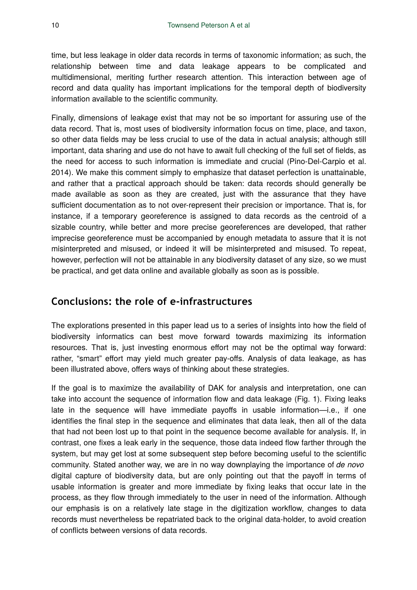time, but less leakage in older data records in terms of taxonomic information; as such, the relationship between time and data leakage appears to be complicated and multidimensional, meriting further research attention. This interaction between age of record and data quality has important implications for the temporal depth of biodiversity information available to the scientific community.

Finally, dimensions of leakage exist that may not be so important for assuring use of the data record. That is, most uses of biodiversity information focus on time, place, and taxon, so other data fields may be less crucial to use of the data in actual analysis; although still important, data sharing and use do not have to await full checking of the full set of fields, as the need for access to such information is immediate and crucial (Pino-Del-Carpio et al. 2014). We make this comment simply to emphasize that dataset perfection is unattainable, and rather that a practical approach should be taken: data records should generally be made available as soon as they are created, just with the assurance that they have sufficient documentation as to not over-represent their precision or importance. That is, for instance, if a temporary georeference is assigned to data records as the centroid of a sizable country, while better and more precise georeferences are developed, that rather imprecise georeference must be accompanied by enough metadata to assure that it is not misinterpreted and misused, or indeed it will be misinterpreted and misused. To repeat, however, perfection will not be attainable in any biodiversity dataset of any size, so we must be practical, and get data online and available globally as soon as is possible.

### Conclusions: the role of e-infrastructures

The explorations presented in this paper lead us to a series of insights into how the field of biodiversity informatics can best move forward towards maximizing its information resources. That is, just investing enormous effort may not be the optimal way forward: rather, "smart" effort may yield much greater pay-offs. Analysis of data leakage, as has been illustrated above, offers ways of thinking about these strategies.

If the goal is to maximize the availability of DAK for analysis and interpretation, one can take into account the sequence of information flow and data leakage (Fig. 1). Fixing leaks late in the sequence will have immediate payoffs in usable information-i.e., if one identifies the final step in the sequence and eliminates that data leak, then all of the data that had not been lost up to that point in the sequence become available for analysis. If, in contrast, one fixes a leak early in the sequence, those data indeed flow farther through the system, but may get lost at some subsequent step before becoming useful to the scientific community. Stated another way, we are in no way downplaying the importance of *de novo*  digital capture of biodiversity data, but are only pointing out that the payoff in terms of usable information is greater and more immediate by fixing leaks that occur late in the process, as they flow through immediately to the user in need of the information. Although our emphasis is on a relatively late stage in the digitization workflow, changes to data records must nevertheless be repatriated back to the original data-holder, to avoid creation of conflicts between versions of data records.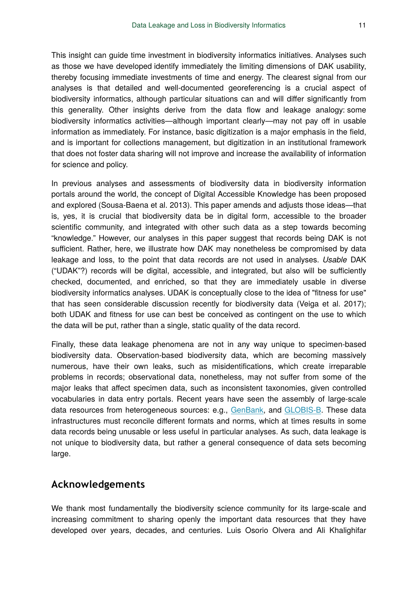This insight can guide time investment in biodiversity informatics initiatives. Analyses such as those we have developed identify immediately the limiting dimensions of DAK usability, thereby focusing immediate investments of time and energy. The clearest signal from our analyses is that detailed and well-documented georeferencing is a crucial aspect of biodiversity informatics, although particular situations can and will differ significantly from this generality. Other insights derive from the data flow and leakage analogy: some biodiversity informatics activities—although important clearly—may not pay off in usable information as immediately. For instance, basic digitization is a major emphasis in the field, and is important for collections management, but digitization in an institutional framework that does not foster data sharing will not improve and increase the availability of information for science and policy.

In previous analyses and assessments of biodiversity data in biodiversity information portals around the world, the concept of Digital Accessible Knowledge has been proposed and explored (Sousa-Baena et al. 2013). This paper amends and adjusts those ideas—that is, yes, it is crucial that biodiversity data be in digital form, accessible to the broader scientific community, and integrated with other such data as a step towards becoming "knowledge." However, our analyses in this paper suggest that records being DAK is not sufficient. Rather, here, we illustrate how DAK may nonetheless be compromised by data leakage and loss, to the point that data records are not used in analyses. *Usable* DAK ("UDAK"?) records will be digital, accessible, and integrated, but also will be sufficiently checked, documented, and enriched, so that they are immediately usable in diverse biodiversity informatics analyses. UDAK is conceptually close to the idea of "fitness for use" that has seen considerable discussion recently for biodiversity data (Veiga et al. 2017); both UDAK and fitness for use can best be conceived as contingent on the use to which the data will be put, rather than a single, static quality of the data record.

Finally, these data leakage phenomena are not in any way unique to specimen-based biodiversity data. Observation-based biodiversity data, which are becoming massively numerous, have their own leaks, such as misidentifications, which create irreparable problems in records; observational data, nonetheless, may not suffer from some of the major leaks that affect specimen data, such as inconsistent taxonomies, given controlled vocabularies in data entry portals. Recent years have seen the assembly of large-scale data resources from heterogeneous sources: e.g., GenBank, and GLOBIS-B. These data infrastructures must reconcile different formats and norms, which at times results in some data records being unusable or less useful in particular analyses. As such, data leakage is not unique to biodiversity data, but rather a general consequence of data sets becoming large.

### Acknowledgements

We thank most fundamentally the biodiversity science community for its large-scale and increasing commitment to sharing openly the important data resources that they have developed over years, decades, and centuries. Luis Osorio Olvera and Ali Khalighifar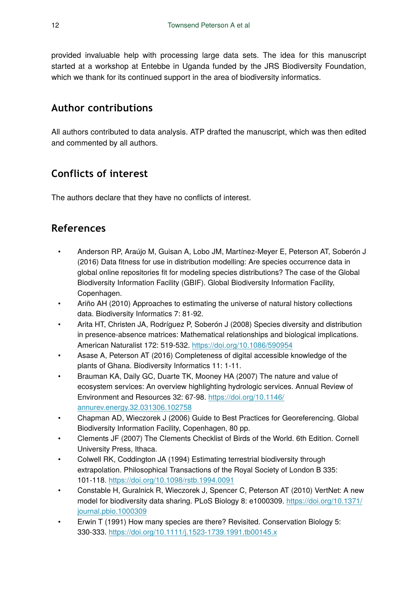provided invaluable help with processing large data sets. The idea for this manuscript started at a workshop at Entebbe in Uganda funded by the JRS Biodiversity Foundation, which we thank for its continued support in the area of biodiversity informatics.

## Author contributions

All authors contributed to data analysis. ATP drafted the manuscript, which was then edited and commented by all authors.

## Conflicts of interest

The authors declare that they have no conflicts of interest.

## **References**

- Anderson RP, Araújo M, Guisan A, Lobo JM, Martínez-Meyer E, Peterson AT, Soberón J (2016) Data fitness for use in distribution modelling: Are species occurrence data in global online repositories fit for modeling species distributions? The case of the Global Biodiversity Information Facility (GBIF). Global Biodiversity Information Facility, Copenhagen.
- Ariño AH (2010) Approaches to estimating the universe of natural history collections data. Biodiversity Informatics 7: 81-92.
- Arita HT, Christen JA, Rodríguez P, Soberón J (2008) Species diversity and distribution in presence-absence matrices: Mathematical relationships and biological implications. American Naturalist 172: 519-532. https://doi.org/10.1086/590954
- Asase A, Peterson AT (2016) Completeness of digital accessible knowledge of the plants of Ghana. Biodiversity Informatics 11: 1-11.
- Brauman KA, Daily GC, Duarte TK, Mooney HA (2007) The nature and value of ecosystem services: An overview highlighting hydrologic services. Annual Review of Environment and Resources 32: 67-98. https://doi.org/10.1146/ annurev.energy.32.031306.102758
- Chapman AD, Wieczorek J (2006) Guide to Best Practices for Georeferencing. Global Biodiversity Information Facility, Copenhagen, 80 pp.
- Clements JF (2007) The Clements Checklist of Birds of the World. 6th Edition. Cornell University Press, Ithaca.
- Colwell RK, Coddington JA (1994) Estimating terrestrial biodiversity through extrapolation. Philosophical Transactions of the Royal Society of London B 335: 101118. https://doi.org/10.1098/rstb.1994.0091
- Constable H, Guralnick R, Wieczorek J, Spencer C, Peterson AT (2010) VertNet: A new model for biodiversity data sharing. PLoS Biology 8: e1000309. https://doi.org/10.1371/ journal.pbio.1000309
- Erwin T (1991) How many species are there? Revisited. Conservation Biology 5: 330333. https://doi.org/10.1111/j.1523-1739.1991.tb00145.x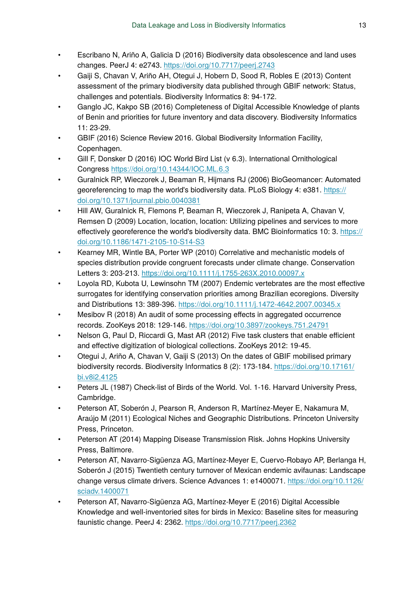- Escribano N, Ariño A, Galicia D (2016) Biodiversity data obsolescence and land uses changes. PeerJ 4: e2743. https://doi.org/10.7717/peerj.2743
- Gaiji S, Chavan V, Ariño AH, Otegui J, Hobern D, Sood R, Robles E (2013) Content assessment of the primary biodiversity data published through GBIF network: Status, challenges and potentials. Biodiversity Informatics 8: 94-172.
- Ganglo JC, Kakpo SB (2016) Completeness of Digital Accessible Knowledge of plants of Benin and priorities for future inventory and data discovery. Biodiversity Informatics 11: 23-29.
- GBIF (2016) Science Review 2016. Global Biodiversity Information Facility, Copenhagen.
- Gill F, Donsker D (2016) IOC World Bird List (v 6.3). International Ornithological Congress https://doi.org/10.14344/IOC.ML.6.3
- Guralnick RP, Wieczorek J, Beaman R, Hijmans RJ (2006) BioGeomancer: Automated georeferencing to map the world's biodiversity data. PLoS Biology 4: e381. https:// doi.org/10.1371/journal.pbio.0040381
- Hill AW, Guralnick R, Flemons P, Beaman R, Wieczorek J, Ranipeta A, Chavan V, Remsen D (2009) Location, location, location: Utilizing pipelines and services to more effectively georeference the world's biodiversity data. BMC Bioinformatics 10: 3. https:// doi.org/10.1186/1471-2105-10-S14-S3
- Kearney MR, Wintle BA, Porter WP (2010) Correlative and mechanistic models of species distribution provide congruent forecasts under climate change. Conservation Letters 3: 203-213. https://doi.org/10.1111/j.1755-263X.2010.00097.x
- Loyola RD, Kubota U, Lewinsohn TM (2007) Endemic vertebrates are the most effective surrogates for identifying conservation priorities among Brazilian ecoregions. Diversity and Distributions 13: 389396. https://doi.org/10.1111/j.1472-4642.2007.00345.x
- Mesibov R (2018) An audit of some processing effects in aggregated occurrence records. ZooKeys 2018: 129146. https://doi.org/10.3897/zookeys.751.24791
- Nelson G, Paul D, Riccardi G, Mast AR (2012) Five task clusters that enable efficient and effective digitization of biological collections. ZooKeys 2012: 19-45.
- Otegui J, Ariño A, Chavan V, Gaiji S (2013) On the dates of GBIF mobilised primary biodiversity records. Biodiversity Informatics 8 (2): 173-184. https://doi.org/10.17161/ bi.v8i2.4125
- Peters JL (1987) Check-list of Birds of the World. Vol. 1-16. Harvard University Press, Cambridge.
- Peterson AT, Soberón J, Pearson R, Anderson R, Martínez-Meyer E, Nakamura M, Araújo M (2011) Ecological Niches and Geographic Distributions. Princeton University Press, Princeton.
- Peterson AT (2014) Mapping Disease Transmission Risk. Johns Hopkins University Press, Baltimore.
- Peterson AT, Navarro-Sigüenza AG, Martínez-Meyer E, Cuervo-Robayo AP, Berlanga H, Soberón J (2015) Twentieth century turnover of Mexican endemic avifaunas: Landscape change versus climate drivers. Science Advances 1: e1400071. https://doi.org/10.1126/ sciadv.1400071
- Peterson AT, Navarro-Sigüenza AG, Martínez-Meyer E (2016) Digital Accessible Knowledge and well-inventoried sites for birds in Mexico: Baseline sites for measuring faunistic change. PeerJ 4: 2362. https://doi.org/10.7717/peerj.2362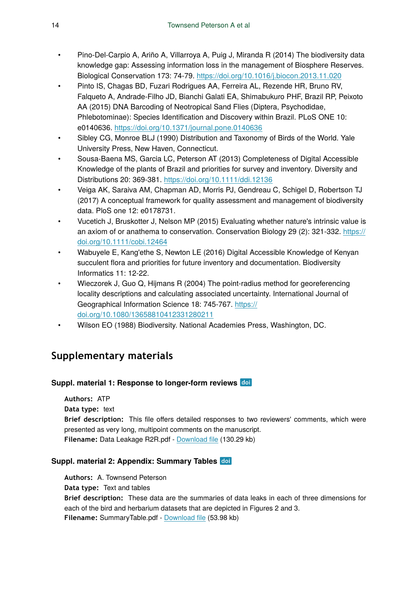- Pino-Del-Carpio A, Ariño A, Villarroya A, Puig J, Miranda R (2014) The biodiversity data knowledge gap: Assessing information loss in the management of Biosphere Reserves. Biological Conservation 173: 7479. https://doi.org/10.1016/j.biocon.2013.11.020
- Pinto IS, Chagas BD, Fuzari Rodrigues AA, Ferreira AL, Rezende HR, Bruno RV, Falqueto A, Andrade-Filho JD, Bianchi Galati EA, Shimabukuro PHF, Brazil RP, Peixoto AA (2015) DNA Barcoding of Neotropical Sand Flies (Diptera, Psychodidae, Phlebotominae): Species Identification and Discovery within Brazil. PLoS ONE 10: e0140636. https://doi.org/10.1371/journal.pone.0140636
- Sibley CG, Monroe BLJ (1990) Distribution and Taxonomy of Birds of the World. Yale University Press, New Haven, Connecticut.
- Sousa-Baena MS, Garcia LC, Peterson AT (2013) Completeness of Digital Accessible Knowledge of the plants of Brazil and priorities for survey and inventory. Diversity and Distributions 20: 369-381. https://doi.org/10.1111/ddi.12136
- Veiga AK, Saraiva AM, Chapman AD, Morris PJ, Gendreau C, Schigel D, Robertson TJ (2017) A conceptual framework for quality assessment and management of biodiversity data. PloS one 12: e0178731.
- Vucetich J, Bruskotter J, Nelson MP (2015) Evaluating whether nature's intrinsic value is an axiom of or anathema to conservation. Conservation Biology 29 (2): 321-332. https:// doi.org/10.1111/cobi.12464
- Wabuyele E, Kang'ethe S, Newton LE (2016) Digital Accessible Knowledge of Kenyan succulent flora and priorities for future inventory and documentation. Biodiversity Informatics  $11: 12-22$ .
- Wieczorek J, Guo Q, Hijmans R (2004) The point-radius method for georeferencing locality descriptions and calculating associated uncertainty. International Journal of Geographical Information Science 18: 745-767. https:// doi.org/10.1080/13658810412331280211
- Wilson EO (1988) Biodiversity. National Academies Press, Washington, DC.

## Supplementary materials

#### **Suppl. material 1: Response to longer-form reviews**

Authors: ATP Data type: text Brief description: This file offers detailed responses to two reviewers' comments, which were presented as very long, multipoint comments on the manuscript. Filename: Data Leakage R2R.pdf - Download file (130.29 kb)

#### **Suppl. material 2: Appendix: Summary Tables**

Authors: A. Townsend Peterson Data type: Text and tables Brief description: These data are the summaries of data leaks in each of three dimensions for each of the bird and herbarium datasets that are depicted in Figures 2 and 3. Filename: SummaryTable.pdf - Download file (53.98 kb)